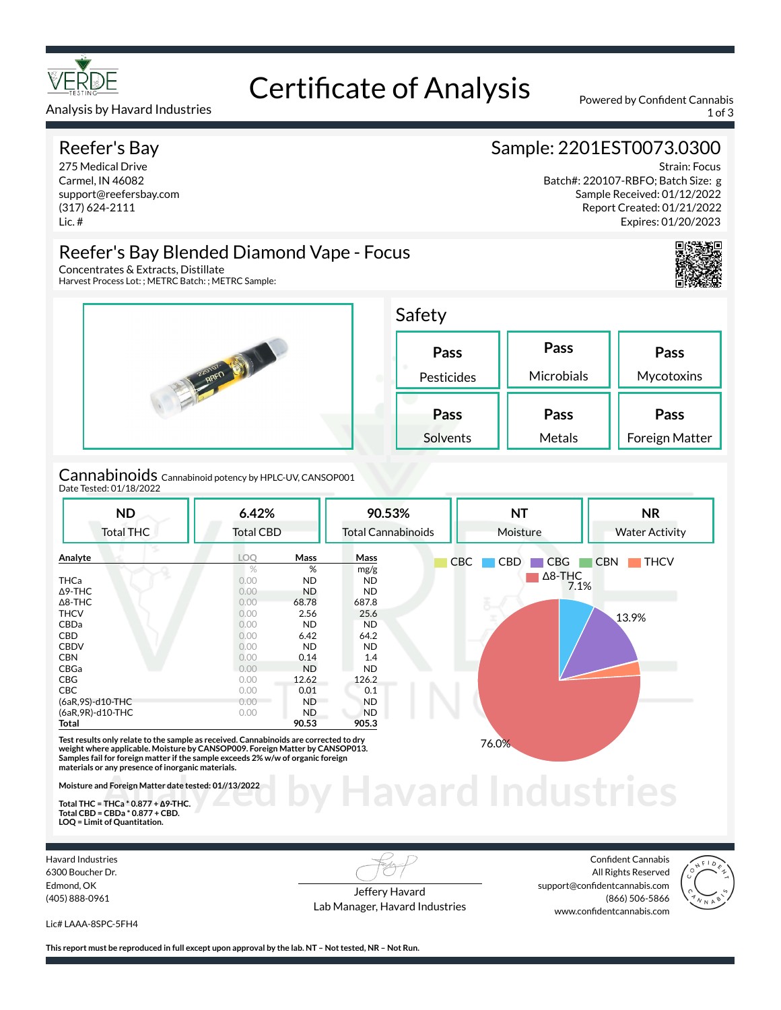

# Certificate of Analysis Powered by Confident Cannabis

Analysis by Havard Industries 1 of 3 and 2008 and 2009 and 2009 and 2009 and 2009 and 2009 and 2009 and 2009 and 2009 and 2009 and 2009 and 2009 and 2009 and 2009 and 2009 and 2009 and 2009 and 2009 and 2009 and 2009 and 2

#### Reefer's Bay

275 Medical Drive Carmel, IN 46082 support@reefersbay.com (317) 624-2111 Lic. #

## Sample: 2201EST0073.0300

Strain: Focus Batch#: 220107-RBFO; Batch Size: g Sample Received: 01/12/2022 Report Created: 01/21/2022 Expires: 01/20/2023



#### Reefer's Bay Blended Diamond Vape - Focus Concentrates & Extracts, Distillate

Harvest Process Lot: ; METRC Batch: ; METRC Sample:



Cannabinoids Cannabinoid potency by HPLC-UV, CANSOP001 Date Tested: 01/18/2022

| <b>ND</b><br><b>Total THC</b> | 6.42%<br><b>Total CBD</b> |             | 90.53%<br><b>Total Cannabinoids</b> | <b>NT</b><br>Moisture    | <b>NR</b><br><b>Water Activity</b> |  |
|-------------------------------|---------------------------|-------------|-------------------------------------|--------------------------|------------------------------------|--|
| Analyte                       | <b>LOO</b>                | <b>Mass</b> | Mass                                | <b>CBD</b><br>CBC<br>CBG | <b>CBN</b><br><b>THCV</b>          |  |
|                               | $\%$                      | %           | mg/g                                |                          |                                    |  |
| <b>THCa</b>                   | 0.00                      | ND.         | ND.                                 | $\Delta$ 8-THC           |                                    |  |
| $\Delta$ 9-THC                | 0.00                      | <b>ND</b>   | ND                                  |                          | 7.1%                               |  |
| $\Delta$ 8-THC                | 0.00                      | 68.78       | 687.8                               |                          |                                    |  |
| <b>THCV</b>                   | 0.00                      | 2.56        | 25.6                                |                          | 13.9%                              |  |
| <b>CBDa</b>                   | 0.00                      | <b>ND</b>   | ND.                                 |                          |                                    |  |
| CBD                           | 0.00                      | 6.42        | 64.2                                |                          |                                    |  |
| <b>CBDV</b>                   | 0.00                      | ND.         | ND.                                 |                          |                                    |  |
| <b>CBN</b>                    | 0.00                      | 0.14        | 1.4                                 |                          |                                    |  |
| CBGa                          | 0.00                      | <b>ND</b>   | <b>ND</b>                           |                          |                                    |  |
| <b>CBG</b>                    | 0.00                      | 12.62       | 126.2                               |                          |                                    |  |
| CBC                           | 0.00                      | 0.01        | 0.1                                 |                          |                                    |  |
| (6aR, 9S)-d10-THC             | 0.00                      | ND.         | <b>ND</b>                           |                          |                                    |  |
| (6aR, 9R)-d10-THC             | 0.00                      | ND.         | <b>ND</b>                           |                          |                                    |  |
| Total                         |                           | 90.53       | 905.3                               |                          |                                    |  |

**Samples fail for foreign matter if the sample exceeds 2% w/w of organic foreign materials or any presence of inorganic materials.** 

**Moisture and Foreign Matter date tested: 01//13/2022** 

**Total THC = THCa \* 0.877 + ∆9-THC. Total CBD = CBDa \* 0.877 + CBD. LOQ = Limit of Quantitation.**

Havard Industries 6300 Boucher Dr. Edmond, OK (405) 888-0961

Jeffery Havard Lab Manager, Havard Industries

**Analyzed by Havard Industries**

Confident Cannabis All Rights Reserved support@confidentcannabis.com (866) 506-5866 www.confidentcannabis.com



Lic# LAAA-8SPC-5FH4

**This report must be reproduced in full except upon approval by the lab. NT – Not tested, NR – Not Run.**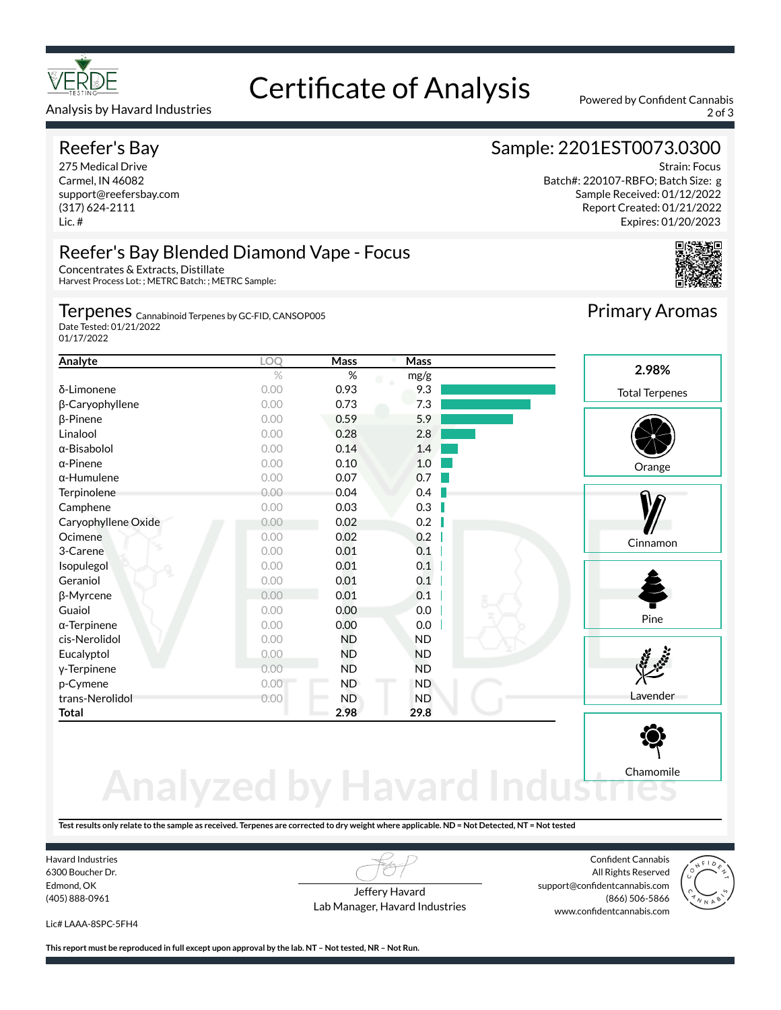

#### Analysis by Havard Industries 2 of 3

#### Reefer's Bay

275 Medical Drive Carmel, IN 46082 support@reefersbay.com (317) 624-2111 Lic. #

## Certificate of Analysis Powered by Confident Cannabis

#### Sample: 2201EST0073.0300

Strain: Focus Batch#: 220107-RBFO; Batch Size: g Sample Received: 01/12/2022 Report Created: 01/21/2022 Expires: 01/20/2023



## Reefer's Bay Blended Diamond Vape - Focus

Concentrates & Extracts, Distillate Harvest Process Lot: ; METRC Batch: ; METRC Sample:

Terpenes <sub>Cannabinoid Terpenes by GC-FID, CANSOP005</sub>

Date Tested: 01/21/2022 01/17/2022

| Analyte             | LOQ  | Mass      | Mass      |                       |
|---------------------|------|-----------|-----------|-----------------------|
|                     | $\%$ | %         | mg/g      | 2.98%                 |
| δ-Limonene          | 0.00 | 0.93      | 9.3       | <b>Total Terpenes</b> |
| β-Caryophyllene     | 0.00 | 0.73      | 7.3       |                       |
| $\beta$ -Pinene     | 0.00 | 0.59      | 5.9       |                       |
| Linalool            | 0.00 | 0.28      | 2.8       |                       |
| $\alpha$ -Bisabolol | 0.00 | 0.14      | 1.4       |                       |
| $\alpha$ -Pinene    | 0.00 | 0.10      | 1.0       | Orange                |
| $\alpha$ -Humulene  | 0.00 | 0.07      | 0.7       |                       |
| Terpinolene         | 0.00 | 0.04      | 0.4       |                       |
| Camphene            | 0.00 | 0.03      | 0.3       |                       |
| Caryophyllene Oxide | 0.00 | 0.02      | 0.2       |                       |
| Ocimene             | 0.00 | 0.02      | 0.2       | Cinnamon              |
| 3-Carene            | 0.00 | 0.01      | 0.1       |                       |
| Isopulegol          | 0.00 | 0.01      | 0.1       |                       |
| Geraniol            | 0.00 | 0.01      | 0.1       |                       |
| β-Myrcene           | 0.00 | 0.01      | 0.1       |                       |
| Guaiol              | 0.00 | 0.00      | 0.0       |                       |
| $\alpha$ -Terpinene | 0.00 | 0.00      | 0.0       | Pine                  |
| cis-Nerolidol       | 0.00 | <b>ND</b> | <b>ND</b> |                       |
| Eucalyptol          | 0.00 | <b>ND</b> | <b>ND</b> |                       |
| y-Terpinene         | 0.00 | <b>ND</b> | <b>ND</b> |                       |
| p-Cymene            | 0.00 | ND.       | ND.       |                       |
| trans-Nerolidol     | 0.00 | <b>ND</b> | <b>ND</b> | Lavender              |
| <b>Total</b>        |      | 2.98      | 29.8      |                       |

## **Analyzed by Havard Indust** Chamomile

**Test results only relate to the sample as received. Terpenes are corrected to dry weight where applicable. ND = Not Detected, NT = Not tested**

Havard Industries 6300 Boucher Dr. Edmond, OK (405) 888-0961

Jeffery Havard Lab Manager, Havard Industries

Confident Cannabis All Rights Reserved support@confidentcannabis.com (866) 506-5866 www.confidentcannabis.com



Lic# LAAA-8SPC-5FH4

**This report must be reproduced in full except upon approval by the lab. NT – Not tested, NR – Not Run.**

Primary Aromas